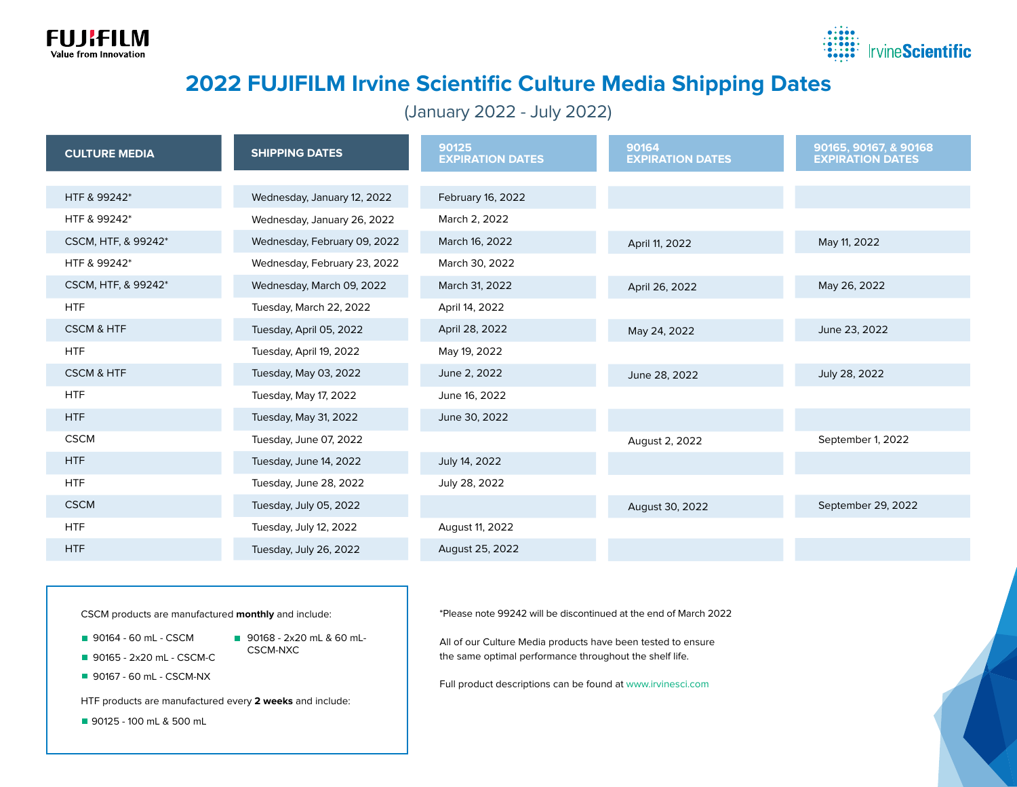



## **2022 FUJIFILM Irvine Scientific Culture Media Shipping Dates**

(January 2022 - July 2022)

| <b>CULTURE MEDIA</b>  | <b>SHIPPING DATES</b>        | 90125<br><b>EXPIRATION DATES</b> | 90164<br><b>EXPIRATION DATES</b> | 90165, 90167, & 90168<br><b>EXPIRATION DATES</b> |
|-----------------------|------------------------------|----------------------------------|----------------------------------|--------------------------------------------------|
|                       |                              |                                  |                                  |                                                  |
| HTF & 99242*          | Wednesday, January 12, 2022  | February 16, 2022                |                                  |                                                  |
| HTF & 99242*          | Wednesday, January 26, 2022  | March 2, 2022                    |                                  |                                                  |
| CSCM, HTF, & 99242*   | Wednesday, February 09, 2022 | March 16, 2022                   | April 11, 2022                   | May 11, 2022                                     |
| HTF & 99242*          | Wednesday, February 23, 2022 | March 30, 2022                   |                                  |                                                  |
| CSCM, HTF, & 99242*   | Wednesday, March 09, 2022    | March 31, 2022                   | April 26, 2022                   | May 26, 2022                                     |
| <b>HTF</b>            | Tuesday, March 22, 2022      | April 14, 2022                   |                                  |                                                  |
| <b>CSCM &amp; HTF</b> | Tuesday, April 05, 2022      | April 28, 2022                   | May 24, 2022                     | June 23, 2022                                    |
| <b>HTF</b>            | Tuesday, April 19, 2022      | May 19, 2022                     |                                  |                                                  |
| <b>CSCM &amp; HTF</b> | Tuesday, May 03, 2022        | June 2, 2022                     | June 28, 2022                    | July 28, 2022                                    |
| <b>HTF</b>            | Tuesday, May 17, 2022        | June 16, 2022                    |                                  |                                                  |
| HTF                   | Tuesday, May 31, 2022        | June 30, 2022                    |                                  |                                                  |
| <b>CSCM</b>           | Tuesday, June 07, 2022       |                                  | August 2, 2022                   | September 1, 2022                                |
| HTF                   | Tuesday, June 14, 2022       | July 14, 2022                    |                                  |                                                  |
| <b>HTF</b>            | Tuesday, June 28, 2022       | July 28, 2022                    |                                  |                                                  |
| <b>CSCM</b>           | Tuesday, July 05, 2022       |                                  | August 30, 2022                  | September 29, 2022                               |
| <b>HTF</b>            | Tuesday, July 12, 2022       | August 11, 2022                  |                                  |                                                  |
| HTF                   | Tuesday, July 26, 2022       | August 25, 2022                  |                                  |                                                  |

CSCM products are manufactured **monthly** and include:

- 90164 60 mL CSCM
- 90168 2x20 mL & 60 mL-CSCM-NXC
- 90165 2x20 mL CSCM-C
- 90167 60 mL CSCM-NX

HTF products are manufactured every **2 weeks** and include:

90125 - 100 mL & 500 mL

\*Please note 99242 will be discontinued at the end of March 2022

All of our Culture Media products have been tested to ensure the same optimal performance throughout the shelf life.

Full product descriptions can be found at www.irvinesci.com